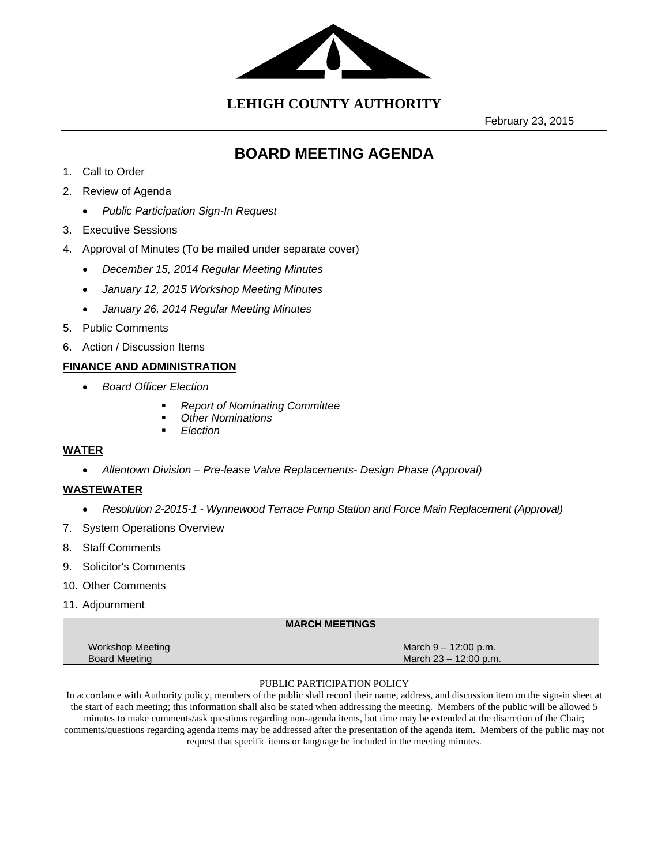

**LEHIGH COUNTY AUTHORITY**

February 23, 2015

# **BOARD MEETING AGENDA**

- 1. Call to Order
- 2. Review of Agenda
	- *Public Participation Sign-In Request*
- 3. Executive Sessions
- 4. Approval of Minutes (To be mailed under separate cover)
	- *December 15, 2014 Regular Meeting Minutes*
	- *January 12, 2015 Workshop Meeting Minutes*
	- *January 26, 2014 Regular Meeting Minutes*
- 5. Public Comments
- 6. Action / Discussion Items

### **FINANCE AND ADMINISTRATION**

- *Board Officer Election* 
	- *Report of Nominating Committee*
	- *Other Nominations*
	- *Election*

#### **WATER**

*Allentown Division – Pre-lease Valve Replacements- Design Phase (Approval)*

### **WASTEWATER**

- *Resolution 2-2015-1 Wynnewood Terrace Pump Station and Force Main Replacement (Approval)*
- 7. System Operations Overview
- 8. Staff Comments
- 9. Solicitor's Comments
- 10. Other Comments
- 11. Adjournment

| <b>MARCH MEETINGS</b> |                        |  |
|-----------------------|------------------------|--|
| Workshop Meeting      | March $9 - 12:00$ p.m. |  |
| <b>Board Meeting</b>  | March 23 – 12:00 p.m.  |  |

#### PUBLIC PARTICIPATION POLICY

In accordance with Authority policy, members of the public shall record their name, address, and discussion item on the sign-in sheet at the start of each meeting; this information shall also be stated when addressing the meeting. Members of the public will be allowed 5 minutes to make comments/ask questions regarding non-agenda items, but time may be extended at the discretion of the Chair; comments/questions regarding agenda items may be addressed after the presentation of the agenda item. Members of the public may not request that specific items or language be included in the meeting minutes.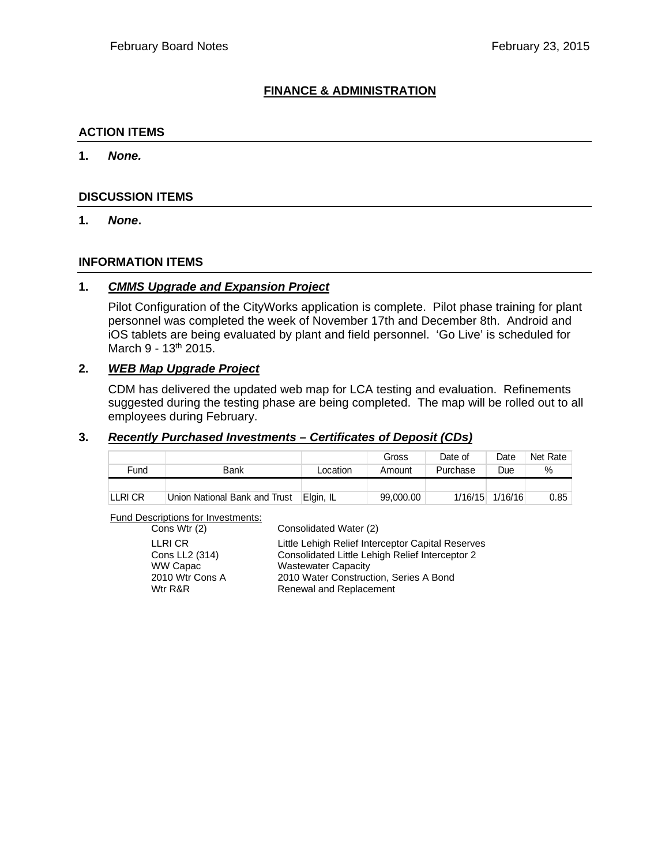## **FINANCE & ADMINISTRATION**

#### **ACTION ITEMS**

**1.** *None.*

#### **DISCUSSION ITEMS**

**1.** *None***.** 

### **INFORMATION ITEMS**

#### **1.** *CMMS Upgrade and Expansion Project*

Pilot Configuration of the CityWorks application is complete. Pilot phase training for plant personnel was completed the week of November 17th and December 8th. Android and iOS tablets are being evaluated by plant and field personnel. 'Go Live' is scheduled for March 9 - 13<sup>th</sup> 2015.

### **2.** *WEB Map Upgrade Project*

CDM has delivered the updated web map for LCA testing and evaluation. Refinements suggested during the testing phase are being completed. The map will be rolled out to all employees during February.

#### **3.** *Recently Purchased Investments – Certificates of Deposit (CDs)*

|         |                               |           | Gross     | Date of  | Date    | Net Rate |
|---------|-------------------------------|-----------|-----------|----------|---------|----------|
| Fund    | Bank                          | Location  | Amount    | Purchase | Due     | %        |
|         |                               |           |           |          |         |          |
| LLRI CR | Union National Bank and Trust | Elgin, IL | 99,000.00 | 1/16/15  | 1/16/16 | 0.85     |

Fund Descriptions for Investments:

| Cons Wtr (2)    | Consolidated Water (2)                            |
|-----------------|---------------------------------------------------|
| LLRI CR         | Little Lehigh Relief Interceptor Capital Reserves |
| Cons LL2 (314)  | Consolidated Little Lehigh Relief Interceptor 2   |
| WW Capac        | <b>Wastewater Capacity</b>                        |
| 2010 Wtr Cons A | 2010 Water Construction, Series A Bond            |
| Wtr R&R         | Renewal and Replacement                           |
|                 |                                                   |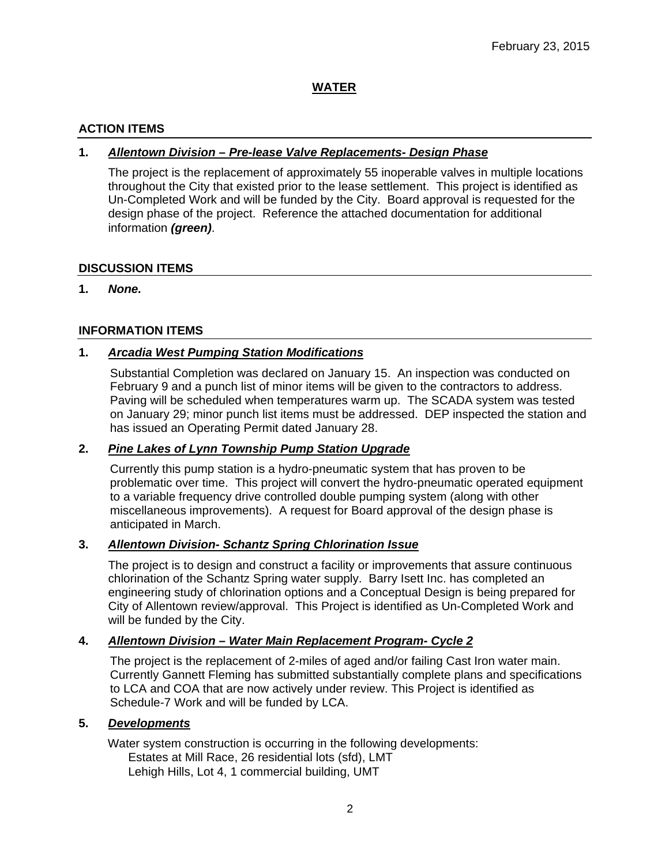## **WATER**

## **ACTION ITEMS**

## **1.** *Allentown Division – Pre-lease Valve Replacements- Design Phase*

The project is the replacement of approximately 55 inoperable valves in multiple locations throughout the City that existed prior to the lease settlement. This project is identified as Un-Completed Work and will be funded by the City. Board approval is requested for the design phase of the project. Reference the attached documentation for additional information *(green)*.

## **DISCUSSION ITEMS**

**1.** *None.*

### **INFORMATION ITEMS**

## **1.** *Arcadia West Pumping Station Modifications*

Substantial Completion was declared on January 15. An inspection was conducted on February 9 and a punch list of minor items will be given to the contractors to address. Paving will be scheduled when temperatures warm up. The SCADA system was tested on January 29; minor punch list items must be addressed. DEP inspected the station and has issued an Operating Permit dated January 28.

#### **2.** *Pine Lakes of Lynn Township Pump Station Upgrade*

Currently this pump station is a hydro-pneumatic system that has proven to be problematic over time. This project will convert the hydro-pneumatic operated equipment to a variable frequency drive controlled double pumping system (along with other miscellaneous improvements). A request for Board approval of the design phase is anticipated in March.

#### **3.** *Allentown Division- Schantz Spring Chlorination Issue*

The project is to design and construct a facility or improvements that assure continuous chlorination of the Schantz Spring water supply. Barry Isett Inc. has completed an engineering study of chlorination options and a Conceptual Design is being prepared for City of Allentown review/approval. This Project is identified as Un-Completed Work and will be funded by the City.

## **4.** *Allentown Division – Water Main Replacement Program- Cycle 2*

The project is the replacement of 2-miles of aged and/or failing Cast Iron water main. Currently Gannett Fleming has submitted substantially complete plans and specifications to LCA and COA that are now actively under review. This Project is identified as Schedule-7 Work and will be funded by LCA.

#### **5.** *Developments*

Water system construction is occurring in the following developments: Estates at Mill Race, 26 residential lots (sfd), LMT Lehigh Hills, Lot 4, 1 commercial building, UMT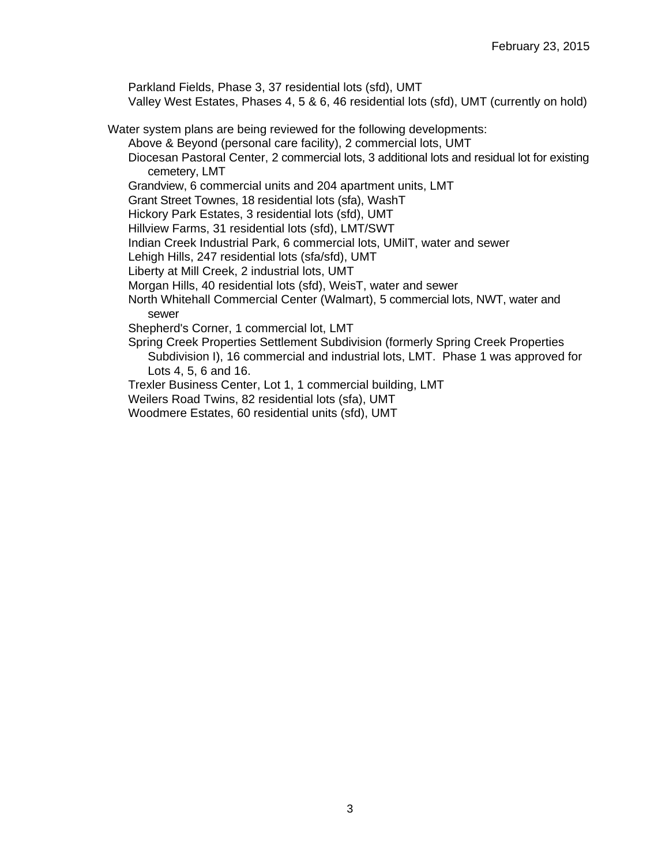Parkland Fields, Phase 3, 37 residential lots (sfd), UMT

Valley West Estates, Phases 4, 5 & 6, 46 residential lots (sfd), UMT (currently on hold)

Water system plans are being reviewed for the following developments:

Above & Beyond (personal care facility), 2 commercial lots, UMT

Diocesan Pastoral Center, 2 commercial lots, 3 additional lots and residual lot for existing cemetery, LMT

Grandview, 6 commercial units and 204 apartment units, LMT

Grant Street Townes, 18 residential lots (sfa), WashT

Hickory Park Estates, 3 residential lots (sfd), UMT

Hillview Farms, 31 residential lots (sfd), LMT/SWT

Indian Creek Industrial Park, 6 commercial lots, UMilT, water and sewer

Lehigh Hills, 247 residential lots (sfa/sfd), UMT

Liberty at Mill Creek, 2 industrial lots, UMT

Morgan Hills, 40 residential lots (sfd), WeisT, water and sewer

North Whitehall Commercial Center (Walmart), 5 commercial lots, NWT, water and sewer

Shepherd's Corner, 1 commercial lot, LMT

Spring Creek Properties Settlement Subdivision (formerly Spring Creek Properties Subdivision I), 16 commercial and industrial lots, LMT. Phase 1 was approved for Lots 4, 5, 6 and 16.

Trexler Business Center, Lot 1, 1 commercial building, LMT

Weilers Road Twins, 82 residential lots (sfa), UMT

Woodmere Estates, 60 residential units (sfd), UMT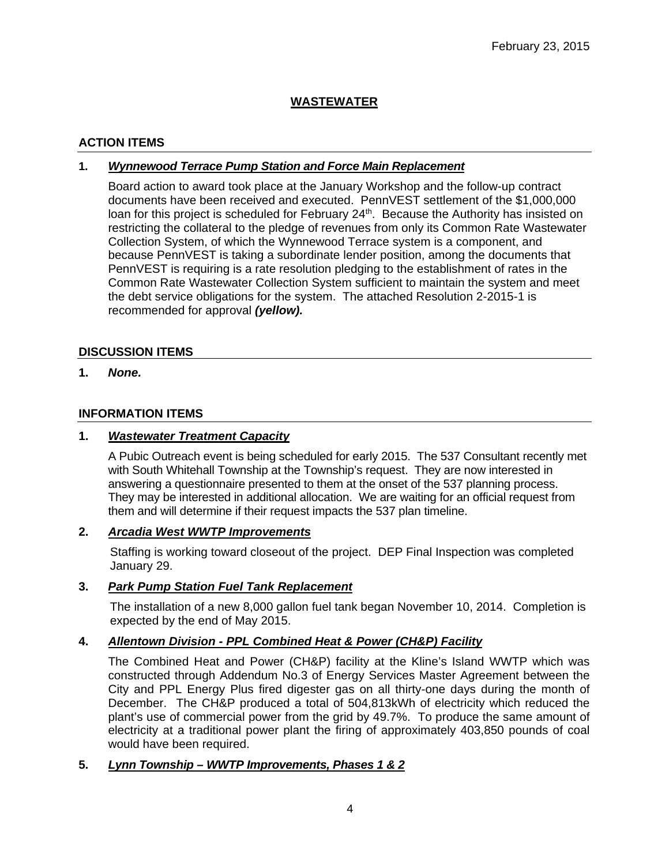## **WASTEWATER**

## **ACTION ITEMS**

## **1.** *Wynnewood Terrace Pump Station and Force Main Replacement*

Board action to award took place at the January Workshop and the follow-up contract documents have been received and executed. PennVEST settlement of the \$1,000,000 loan for this project is scheduled for February 24<sup>th</sup>. Because the Authority has insisted on restricting the collateral to the pledge of revenues from only its Common Rate Wastewater Collection System, of which the Wynnewood Terrace system is a component, and because PennVEST is taking a subordinate lender position, among the documents that PennVEST is requiring is a rate resolution pledging to the establishment of rates in the Common Rate Wastewater Collection System sufficient to maintain the system and meet the debt service obligations for the system. The attached Resolution 2-2015-1 is recommended for approval *(yellow).*

## **DISCUSSION ITEMS**

**1.** *None.* 

## **INFORMATION ITEMS**

### **1.** *Wastewater Treatment Capacity*

A Pubic Outreach event is being scheduled for early 2015. The 537 Consultant recently met with South Whitehall Township at the Township's request. They are now interested in answering a questionnaire presented to them at the onset of the 537 planning process. They may be interested in additional allocation. We are waiting for an official request from them and will determine if their request impacts the 537 plan timeline.

#### **2.** *Arcadia West WWTP Improvements*

Staffing is working toward closeout of the project. DEP Final Inspection was completed January 29.

## **3.** *Park Pump Station Fuel Tank Replacement*

The installation of a new 8,000 gallon fuel tank began November 10, 2014. Completion is expected by the end of May 2015.

## **4.** *Allentown Division - PPL Combined Heat & Power (CH&P) Facility*

The Combined Heat and Power (CH&P) facility at the Kline's Island WWTP which was constructed through Addendum No.3 of Energy Services Master Agreement between the City and PPL Energy Plus fired digester gas on all thirty-one days during the month of December. The CH&P produced a total of 504,813kWh of electricity which reduced the plant's use of commercial power from the grid by 49.7%. To produce the same amount of electricity at a traditional power plant the firing of approximately 403,850 pounds of coal would have been required.

## **5.** *Lynn Township – WWTP Improvements, Phases 1 & 2*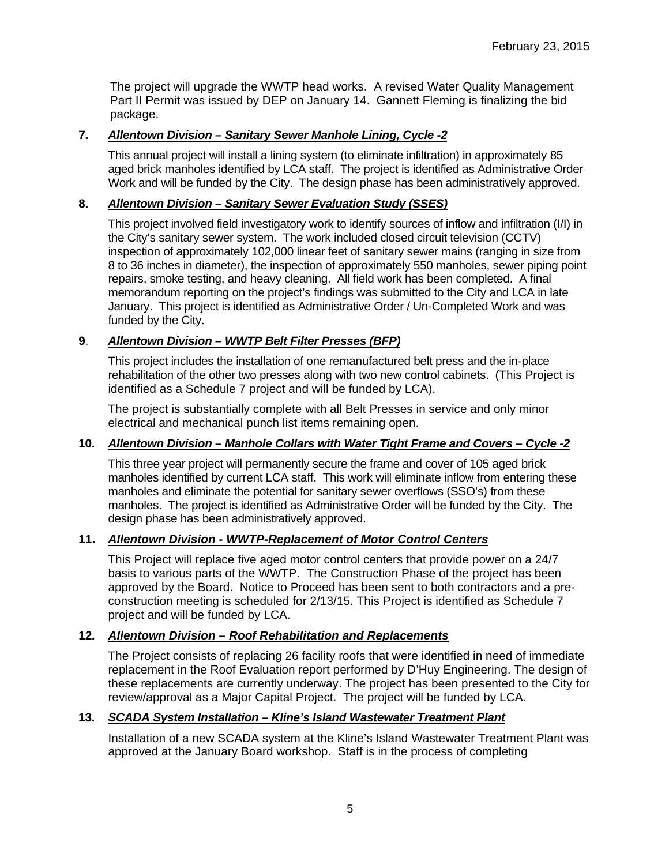The project will upgrade the WWTP head works. A revised Water Quality Management Part II Permit was issued by DEP on January 14. Gannett Fleming is finalizing the bid package.

## **7.** *Allentown Division – Sanitary Sewer Manhole Lining, Cycle -2*

This annual project will install a lining system (to eliminate infiltration) in approximately 85 aged brick manholes identified by LCA staff. The project is identified as Administrative Order Work and will be funded by the City. The design phase has been administratively approved.

## **8.** *Allentown Division – Sanitary Sewer Evaluation Study (SSES)*

This project involved field investigatory work to identify sources of inflow and infiltration (I/I) in the City's sanitary sewer system. The work included closed circuit television (CCTV) inspection of approximately 102,000 linear feet of sanitary sewer mains (ranging in size from 8 to 36 inches in diameter), the inspection of approximately 550 manholes, sewer piping point repairs, smoke testing, and heavy cleaning. All field work has been completed. A final memorandum reporting on the project's findings was submitted to the City and LCA in late January. This project is identified as Administrative Order / Un-Completed Work and was funded by the City.

## **9**. *Allentown Division – WWTP Belt Filter Presses (BFP)*

This project includes the installation of one remanufactured belt press and the in-place rehabilitation of the other two presses along with two new control cabinets. (This Project is identified as a Schedule 7 project and will be funded by LCA).

The project is substantially complete with all Belt Presses in service and only minor electrical and mechanical punch list items remaining open.

## **10.** *Allentown Division – Manhole Collars with Water Tight Frame and Covers – Cycle -2*

This three year project will permanently secure the frame and cover of 105 aged brick manholes identified by current LCA staff. This work will eliminate inflow from entering these manholes and eliminate the potential for sanitary sewer overflows (SSO's) from these manholes. The project is identified as Administrative Order will be funded by the City. The design phase has been administratively approved.

## **11.** *Allentown Division - WWTP-Replacement of Motor Control Centers*

This Project will replace five aged motor control centers that provide power on a 24/7 basis to various parts of the WWTP. The Construction Phase of the project has been approved by the Board. Notice to Proceed has been sent to both contractors and a preconstruction meeting is scheduled for 2/13/15. This Project is identified as Schedule 7 project and will be funded by LCA.

## **12***. Allentown Division – Roof Rehabilitation and Replacements*

The Project consists of replacing 26 facility roofs that were identified in need of immediate replacement in the Roof Evaluation report performed by D'Huy Engineering. The design of these replacements are currently underway. The project has been presented to the City for review/approval as a Major Capital Project. The project will be funded by LCA.

## **13.** *SCADA System Installation – Kline's Island Wastewater Treatment Plant*

Installation of a new SCADA system at the Kline's Island Wastewater Treatment Plant was approved at the January Board workshop. Staff is in the process of completing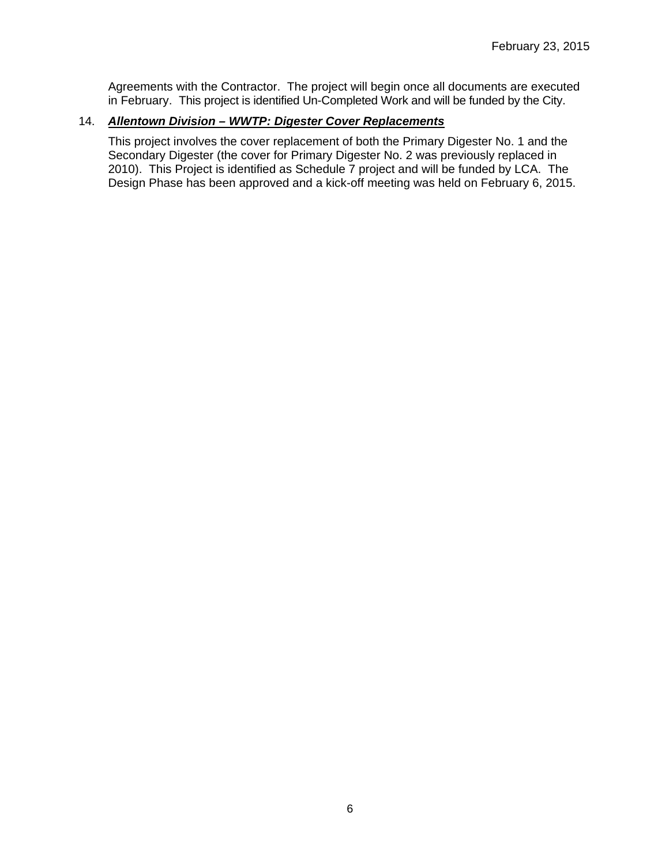Agreements with the Contractor. The project will begin once all documents are executed in February. This project is identified Un-Completed Work and will be funded by the City.

## 14. *Allentown Division – WWTP: Digester Cover Replacements*

This project involves the cover replacement of both the Primary Digester No. 1 and the Secondary Digester (the cover for Primary Digester No. 2 was previously replaced in 2010). This Project is identified as Schedule 7 project and will be funded by LCA. The Design Phase has been approved and a kick-off meeting was held on February 6, 2015.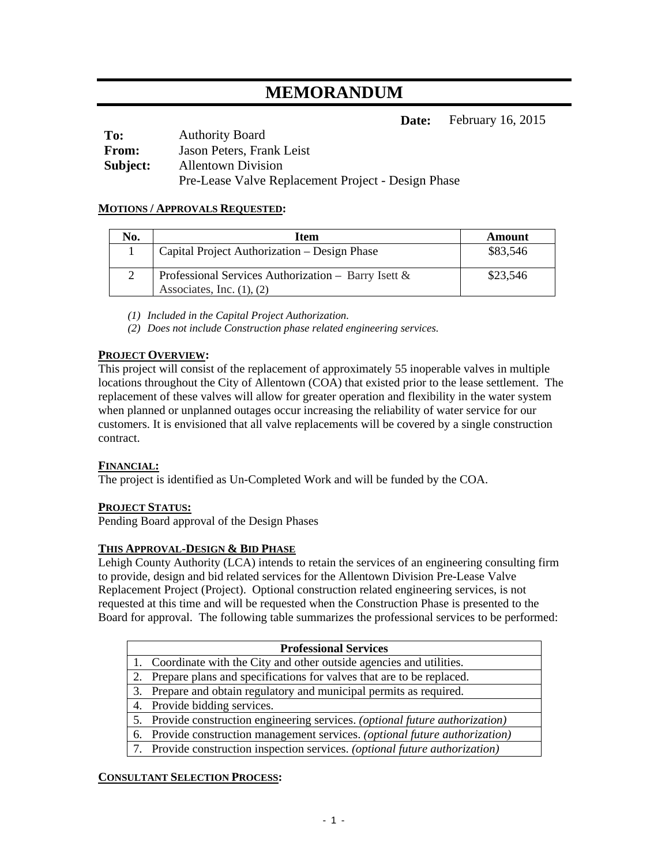# **MEMORANDUM**

**Date:** February 16, 2015

| To:          | <b>Authority Board</b>                             |
|--------------|----------------------------------------------------|
| <b>From:</b> | Jason Peters, Frank Leist                          |
| Subject:     | <b>Allentown Division</b>                          |
|              | Pre-Lease Valve Replacement Project - Design Phase |

#### **MOTIONS / APPROVALS REQUESTED:**

| No. | Item                                                                                     | Amount   |
|-----|------------------------------------------------------------------------------------------|----------|
|     | Capital Project Authorization – Design Phase                                             | \$83,546 |
|     | Professional Services Authorization – Barry Isett $\&$<br>Associates, Inc. $(1)$ , $(2)$ | \$23,546 |

*(1) Included in the Capital Project Authorization.* 

*(2) Does not include Construction phase related engineering services.* 

### **PROJECT OVERVIEW:**

This project will consist of the replacement of approximately 55 inoperable valves in multiple locations throughout the City of Allentown (COA) that existed prior to the lease settlement. The replacement of these valves will allow for greater operation and flexibility in the water system when planned or unplanned outages occur increasing the reliability of water service for our customers. It is envisioned that all valve replacements will be covered by a single construction contract.

#### **FINANCIAL:**

The project is identified as Un-Completed Work and will be funded by the COA.

#### **PROJECT STATUS:**

Pending Board approval of the Design Phases

#### **THIS APPROVAL-DESIGN & BID PHASE**

Lehigh County Authority (LCA) intends to retain the services of an engineering consulting firm to provide, design and bid related services for the Allentown Division Pre-Lease Valve Replacement Project (Project). Optional construction related engineering services, is not requested at this time and will be requested when the Construction Phase is presented to the Board for approval. The following table summarizes the professional services to be performed:

|    | <b>Professional Services</b>                                                  |
|----|-------------------------------------------------------------------------------|
|    | 1. Coordinate with the City and other outside agencies and utilities.         |
| 2. | Prepare plans and specifications for valves that are to be replaced.          |
|    | 3. Prepare and obtain regulatory and municipal permits as required.           |
|    | 4. Provide bidding services.                                                  |
|    | 5. Provide construction engineering services. (optional future authorization) |
|    | 6. Provide construction management services. (optional future authorization)  |
|    | 7. Provide construction inspection services. (optional future authorization)  |

#### **CONSULTANT SELECTION PROCESS:**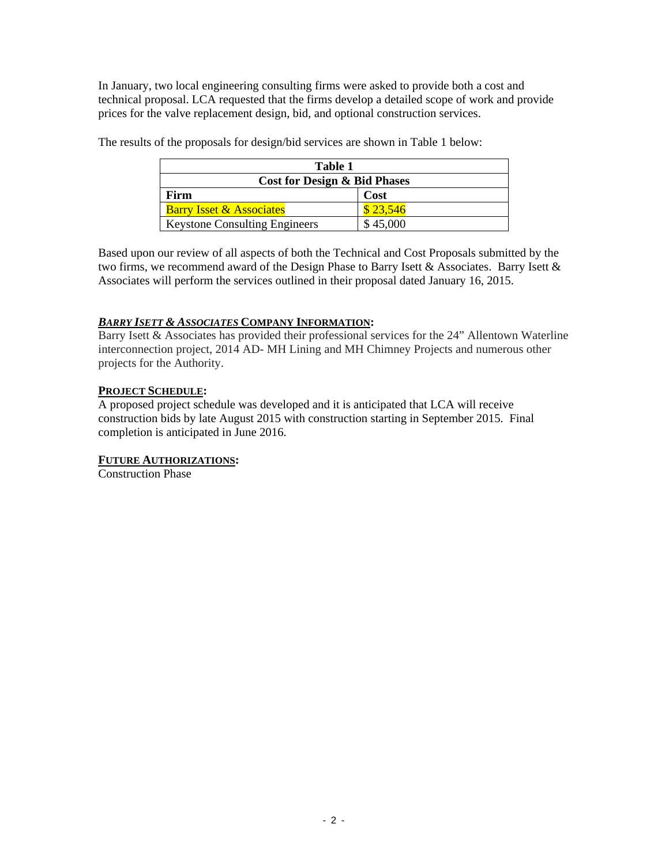In January, two local engineering consulting firms were asked to provide both a cost and technical proposal. LCA requested that the firms develop a detailed scope of work and provide prices for the valve replacement design, bid, and optional construction services.

| Table 1                                 |          |  |
|-----------------------------------------|----------|--|
| <b>Cost for Design &amp; Bid Phases</b> |          |  |
| Firm                                    | Cost     |  |
| <b>Barry Isset &amp; Associates</b>     | \$23,546 |  |
| <b>Keystone Consulting Engineers</b>    | \$45,000 |  |

The results of the proposals for design/bid services are shown in Table 1 below:

Based upon our review of all aspects of both the Technical and Cost Proposals submitted by the two firms, we recommend award of the Design Phase to Barry Isett & Associates. Barry Isett & Associates will perform the services outlined in their proposal dated January 16, 2015.

## *BARRY ISETT & ASSOCIATES* **COMPANY INFORMATION:**

Barry Isett & Associates has provided their professional services for the 24" Allentown Waterline interconnection project, 2014 AD- MH Lining and MH Chimney Projects and numerous other projects for the Authority.

#### **PROJECT SCHEDULE:**

A proposed project schedule was developed and it is anticipated that LCA will receive construction bids by late August 2015 with construction starting in September 2015. Final completion is anticipated in June 2016.

#### **FUTURE AUTHORIZATIONS:**

Construction Phase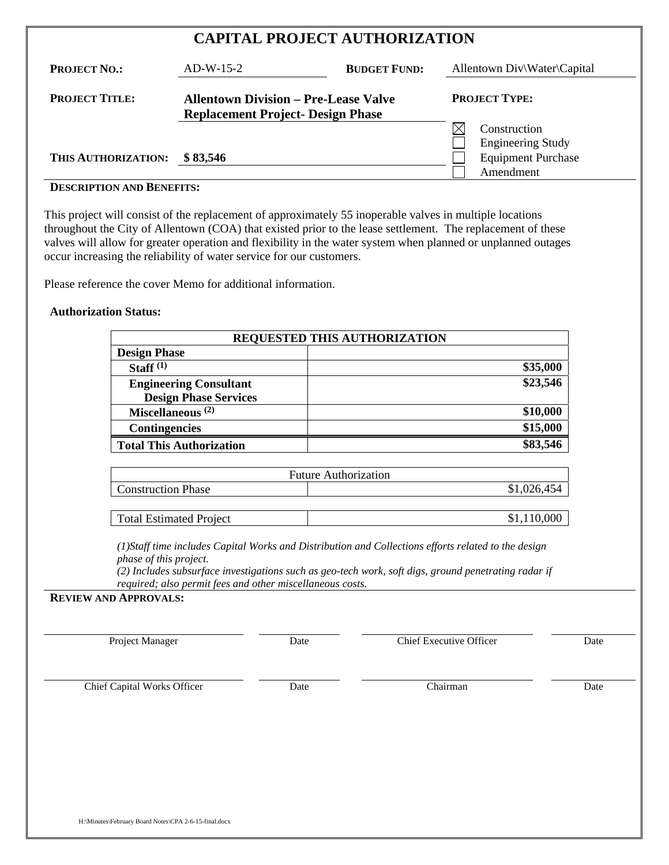| <b>CAPITAL PROJECT AUTHORIZATION</b> |                                                                                         |                     |                                          |
|--------------------------------------|-----------------------------------------------------------------------------------------|---------------------|------------------------------------------|
| <b>PROJECT NO.:</b>                  | $AD-W-15-2$                                                                             | <b>BUDGET FUND:</b> | Allentown Div\Water\Capital              |
| <b>PROJECT TITLE:</b>                | <b>Allentown Division – Pre-Lease Valve</b><br><b>Replacement Project- Design Phase</b> |                     | <b>PROJECT TYPE:</b>                     |
|                                      |                                                                                         |                     | Construction<br><b>Engineering Study</b> |

# **DESCRIPTION AND BENEFITS:**

This project will consist of the replacement of approximately 55 inoperable valves in multiple locations throughout the City of Allentown (COA) that existed prior to the lease settlement. The replacement of these valves will allow for greater operation and flexibility in the water system when planned or unplanned outages occur increasing the reliability of water service for our customers.

**THIS AUTHORIZATION: \$83,546** Equipment Purchase

Please reference the cover Memo for additional information.

#### **Authorization Status:**

| <b>REQUESTED THIS AUTHORIZATION</b> |          |
|-------------------------------------|----------|
| <b>Design Phase</b>                 |          |
| Staff $(1)$                         | \$35,000 |
| <b>Engineering Consultant</b>       | \$23,546 |
| <b>Design Phase Services</b>        |          |
| Miscellaneous <sup>(2)</sup>        | \$10,000 |
| <b>Contingencies</b>                | \$15,000 |
| <b>Total This Authorization</b>     | \$83,546 |
|                                     |          |
| Eutura Authorization                |          |

| <b>Future Authorization</b> |             |  |  |
|-----------------------------|-------------|--|--|
| <b>Construction Phase</b>   | \$1,026,454 |  |  |
|                             |             |  |  |

Total Estimated Project  $\qquad$   $\qquad$  \$1,110,000

*(1)Staff time includes Capital Works and Distribution and Collections efforts related to the design phase of this project.* 

*(2) Includes subsurface investigations such as geo-tech work, soft digs, ground penetrating radar if required; also permit fees and other miscellaneous costs.* 

#### **REVIEW AND APPROVALS:**

Project Manager Date Date Chief Executive Officer Date

Amendment

Chief Capital Works Officer Date Date Chairman Date Chairman Date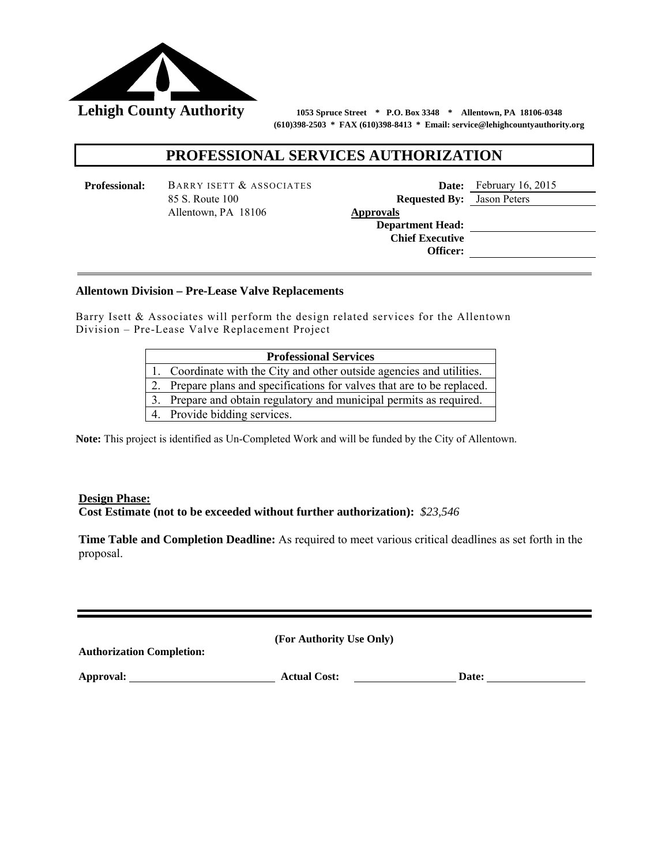

 **(610)398-2503 \* FAX (610)398-8413 \* Email: service@lehighcountyauthority.org**

## **PROFESSIONAL SERVICES AUTHORIZATION**

**Professional:** BARRY ISETT & ASSOCIATES **Date:** February 16, 2015 85 S. Route 100 **Requested By:** Jason Peters Allentown, PA 18106 **Approvals** 

 **Department Head: Chief Executive Officer:** 

## **Description of Services (Work Scope, Steps, Check Points, etc.): Allentown Division – Pre-Lease Valve Replacements**

Barry Isett & Associates will perform the design related services for the Allentown Division – Pre-Lease Valve Replacement Project

| <b>Professional Services</b> |                                                                      |  |  |
|------------------------------|----------------------------------------------------------------------|--|--|
|                              | Coordinate with the City and other outside agencies and utilities.   |  |  |
|                              | Prepare plans and specifications for valves that are to be replaced. |  |  |
|                              | Prepare and obtain regulatory and municipal permits as required.     |  |  |
|                              | Provide bidding services.                                            |  |  |

**Note:** This project is identified as Un-Completed Work and will be funded by the City of Allentown.

#### **Design Phase: Cost Estimate (not to be exceeded without further authorization):** *\$23,546*

**Time Table and Completion Deadline:** As required to meet various critical deadlines as set forth in the proposal.

| <b>Authorization Completion:</b> | (For Authority Use Only) |       |
|----------------------------------|--------------------------|-------|
| Approval:                        | <b>Actual Cost:</b>      | Date: |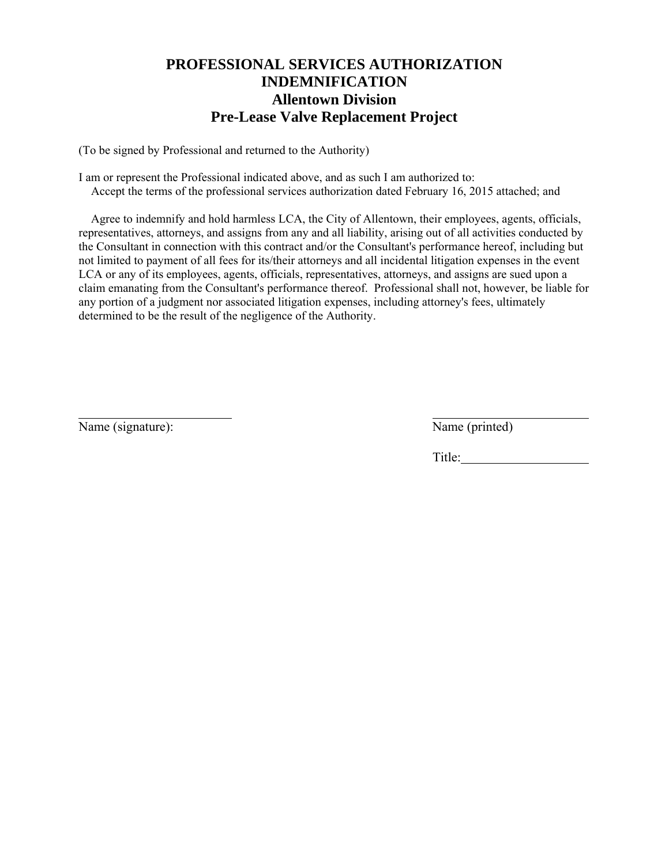## **PROFESSIONAL SERVICES AUTHORIZATION INDEMNIFICATION Allentown Division Pre-Lease Valve Replacement Project**

(To be signed by Professional and returned to the Authority)

I am or represent the Professional indicated above, and as such I am authorized to: Accept the terms of the professional services authorization dated February 16, 2015 attached; and

 Agree to indemnify and hold harmless LCA, the City of Allentown, their employees, agents, officials, representatives, attorneys, and assigns from any and all liability, arising out of all activities conducted by the Consultant in connection with this contract and/or the Consultant's performance hereof, including but not limited to payment of all fees for its/their attorneys and all incidental litigation expenses in the event LCA or any of its employees, agents, officials, representatives, attorneys, and assigns are sued upon a claim emanating from the Consultant's performance thereof. Professional shall not, however, be liable for any portion of a judgment nor associated litigation expenses, including attorney's fees, ultimately determined to be the result of the negligence of the Authority.

Name (signature): Name (printed)

l

Title: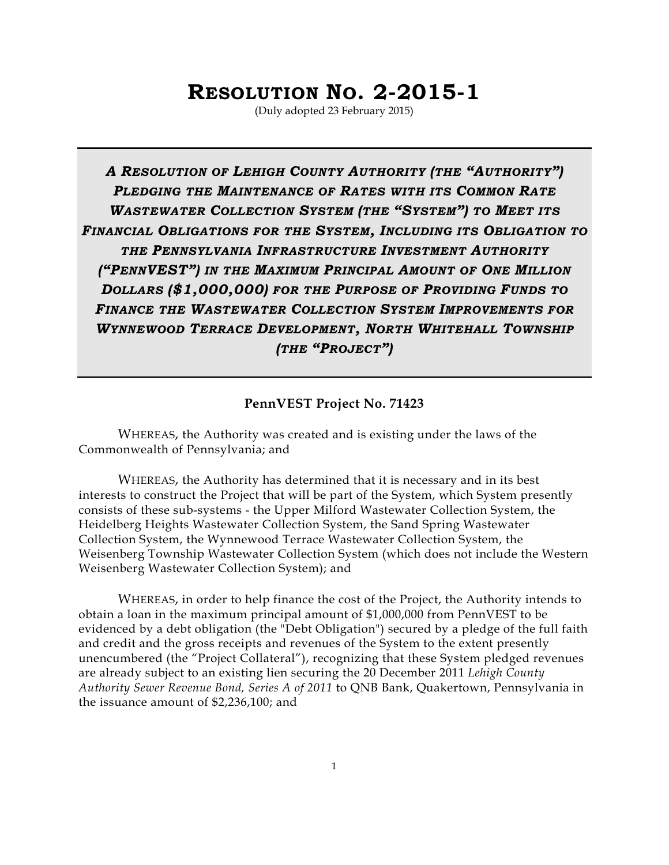# **RESOLUTION NO. 2-2015-1**

(Duly adopted 23 February 2015)

*A RESOLUTION OF LEHIGH COUNTY AUTHORITY (THE "AUTHORITY") PLEDGING THE MAINTENANCE OF RATES WITH ITS COMMON RATE WASTEWATER COLLECTION SYSTEM (THE "SYSTEM") TO MEET ITS FINANCIAL OBLIGATIONS FOR THE SYSTEM, INCLUDING ITS OBLIGATION TO THE PENNSYLVANIA INFRASTRUCTURE INVESTMENT AUTHORITY ("PENNVEST") IN THE MAXIMUM PRINCIPAL AMOUNT OF ONE MILLION DOLLARS (\$1,000,000) FOR THE PURPOSE OF PROVIDING FUNDS TO FINANCE THE WASTEWATER COLLECTION SYSTEM IMPROVEMENTS FOR WYNNEWOOD TERRACE DEVELOPMENT, NORTH WHITEHALL TOWNSHIP (THE "PROJECT")* 

#### **PennVEST Project No. 71423**

WHEREAS, the Authority was created and is existing under the laws of the Commonwealth of Pennsylvania; and

WHEREAS, the Authority has determined that it is necessary and in its best interests to construct the Project that will be part of the System, which System presently consists of these sub-systems - the Upper Milford Wastewater Collection System, the Heidelberg Heights Wastewater Collection System, the Sand Spring Wastewater Collection System, the Wynnewood Terrace Wastewater Collection System, the Weisenberg Township Wastewater Collection System (which does not include the Western Weisenberg Wastewater Collection System); and

WHEREAS, in order to help finance the cost of the Project, the Authority intends to obtain a loan in the maximum principal amount of \$1,000,000 from PennVEST to be evidenced by a debt obligation (the "Debt Obligation") secured by a pledge of the full faith and credit and the gross receipts and revenues of the System to the extent presently unencumbered (the "Project Collateral"), recognizing that these System pledged revenues are already subject to an existing lien securing the 20 December 2011 *Lehigh County Authority Sewer Revenue Bond, Series A of 2011* to QNB Bank, Quakertown, Pennsylvania in the issuance amount of \$2,236,100; and